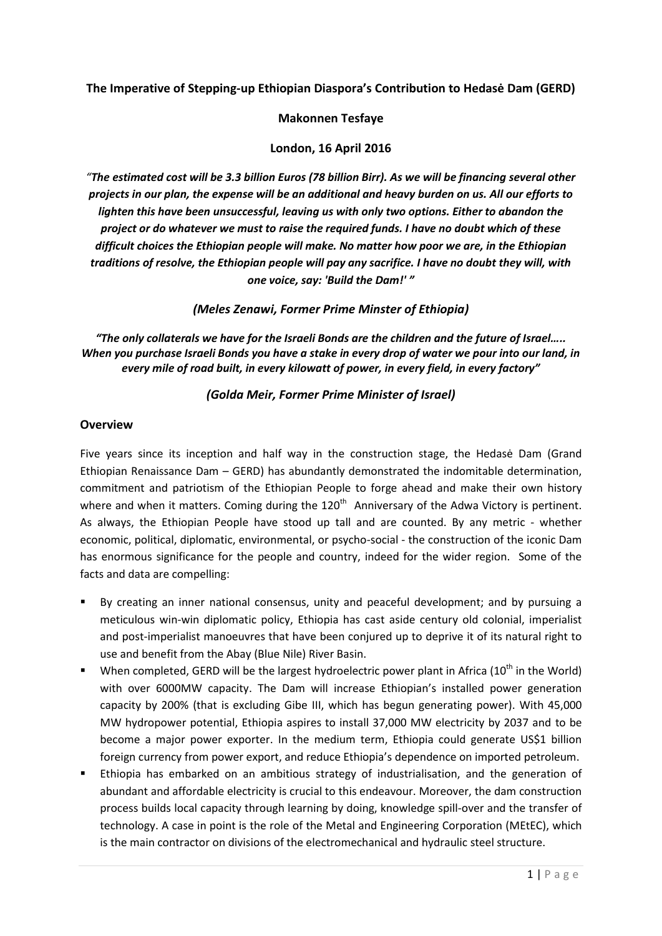# **The Imperative of Stepping-up Ethiopian Diaspora's Contribution to Hedasė Dam (GERD)**

#### **Makonnen Tesfaye**

### **London, 16 April 2016**

*"The estimated cost will be 3.3 billion Euros (78 billion Birr). As we will be financing several other projects in our plan, the expense will be an additional and heavy burden on us. All our efforts to lighten this have been unsuccessful, leaving us with only two options. Either to abandon the project or do whatever we must to raise the required funds. I have no doubt which of these difficult choices the Ethiopian people will make. No matter how poor we are, in the Ethiopian traditions of resolve, the Ethiopian people will pay any sacrifice. I have no doubt they will, with one voice, say: 'Build the Dam!' "*

*(Meles Zenawi, Former Prime Minster of Ethiopia)*

*"The only collaterals we have for the Israeli Bonds are the children and the future of Israel….. When you purchase Israeli Bonds you have a stake in every drop of water we pour into our land, in every mile of road built, in every kilowatt of power, in every field, in every factory"*

## *(Golda Meir, Former Prime Minister of Israel)*

#### **Overview**

Five years since its inception and half way in the construction stage, the Hedasė Dam (Grand Ethiopian Renaissance Dam – GERD) has abundantly demonstrated the indomitable determination, commitment and patriotism of the Ethiopian People to forge ahead and make their own history where and when it matters. Coming during the 120<sup>th</sup> Anniversary of the Adwa Victory is pertinent. As always, the Ethiopian People have stood up tall and are counted. By any metric - whether economic, political, diplomatic, environmental, or psycho-social - the construction of the iconic Dam has enormous significance for the people and country, indeed for the wider region. Some of the facts and data are compelling:

- By creating an inner national consensus, unity and peaceful development; and by pursuing a meticulous win-win diplomatic policy, Ethiopia has cast aside century old colonial, imperialist and post-imperialist manoeuvres that have been conjured up to deprive it of its natural right to use and benefit from the Abay (Blue Nile) River Basin.
- When completed, GERD will be the largest hydroelectric power plant in Africa (10<sup>th</sup> in the World) with over 6000MW capacity. The Dam will increase Ethiopian's installed power generation capacity by 200% (that is excluding Gibe III, which has begun generating power). With 45,000 MW hydropower potential, Ethiopia aspires to install 37,000 MW electricity by 2037 and to be become a major power exporter. In the medium term, Ethiopia could generate US\$1 billion foreign currency from power export, and reduce Ethiopia's dependence on imported petroleum.
- Ethiopia has embarked on an ambitious strategy of industrialisation, and the generation of abundant and affordable electricity is crucial to this endeavour. Moreover, the dam construction process builds local capacity through learning by doing, knowledge spill-over and the transfer of technology. A case in point is the role of the Metal and Engineering Corporation (MEtEC), which is the main contractor on divisions of the electromechanical and hydraulic steel structure.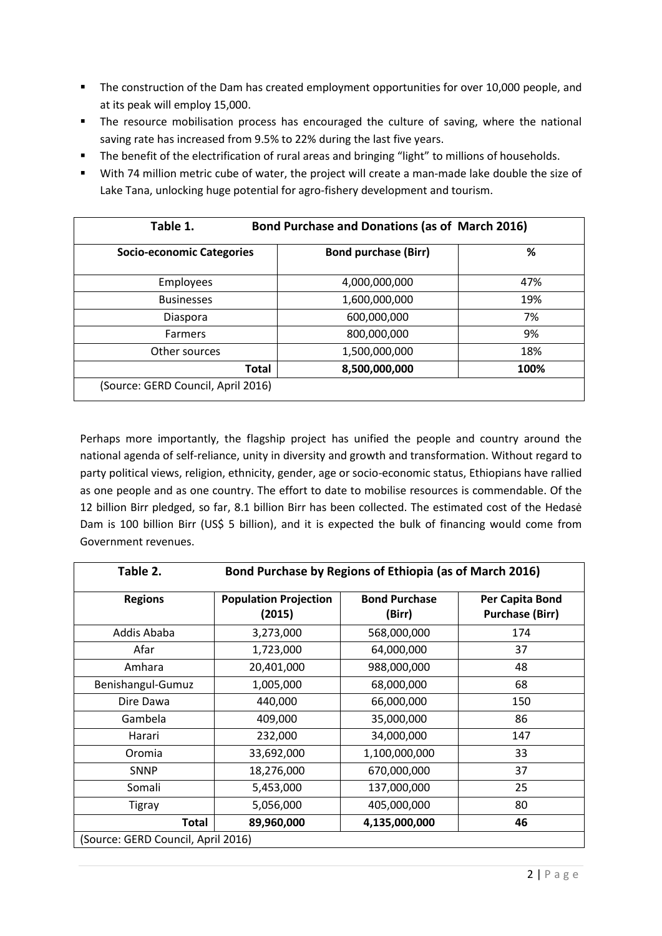- **The construction of the Dam has created employment opportunities for over 10,000 people, and** at its peak will employ 15,000.
- The resource mobilisation process has encouraged the culture of saving, where the national saving rate has increased from 9.5% to 22% during the last five years.
- The benefit of the electrification of rural areas and bringing "light" to millions of households.
- With 74 million metric cube of water, the project will create a man-made lake double the size of Lake Tana, unlocking huge potential for agro-fishery development and tourism.

| Table 1.                           | <b>Bond Purchase and Donations (as of March 2016)</b> |      |  |  |  |  |
|------------------------------------|-------------------------------------------------------|------|--|--|--|--|
| <b>Socio-economic Categories</b>   | <b>Bond purchase (Birr)</b>                           | %    |  |  |  |  |
| Employees                          | 4,000,000,000                                         | 47%  |  |  |  |  |
| <b>Businesses</b>                  | 1,600,000,000                                         | 19%  |  |  |  |  |
| Diaspora                           | 600,000,000                                           | 7%   |  |  |  |  |
| <b>Farmers</b>                     | 800,000,000                                           | 9%   |  |  |  |  |
| Other sources                      | 1,500,000,000                                         | 18%  |  |  |  |  |
| <b>Total</b>                       | 8,500,000,000                                         | 100% |  |  |  |  |
| (Source: GERD Council, April 2016) |                                                       |      |  |  |  |  |

Perhaps more importantly, the flagship project has unified the people and country around the national agenda of self-reliance, unity in diversity and growth and transformation. Without regard to party political views, religion, ethnicity, gender, age or socio-economic status, Ethiopians have rallied as one people and as one country. The effort to date to mobilise resources is commendable. Of the 12 billion Birr pledged, so far, 8.1 billion Birr has been collected. The estimated cost of the Hedasė Dam is 100 billion Birr (US\$ 5 billion), and it is expected the bulk of financing would come from Government revenues.

| Table 2.                           | Bond Purchase by Regions of Ethiopia (as of March 2016) |                                |                                           |  |  |  |  |
|------------------------------------|---------------------------------------------------------|--------------------------------|-------------------------------------------|--|--|--|--|
| <b>Regions</b>                     | <b>Population Projection</b><br>(2015)                  | <b>Bond Purchase</b><br>(Birr) | Per Capita Bond<br><b>Purchase (Birr)</b> |  |  |  |  |
| Addis Ababa                        | 3,273,000                                               | 568,000,000                    | 174                                       |  |  |  |  |
| Afar                               | 1,723,000                                               | 64,000,000                     | 37                                        |  |  |  |  |
| Amhara                             | 20,401,000                                              | 988,000,000                    | 48                                        |  |  |  |  |
| Benishangul-Gumuz                  | 1,005,000                                               | 68,000,000                     | 68                                        |  |  |  |  |
| Dire Dawa                          | 440,000                                                 | 66,000,000                     | 150                                       |  |  |  |  |
| Gambela                            | 409,000                                                 | 35,000,000                     | 86                                        |  |  |  |  |
| Harari                             | 232,000                                                 | 34,000,000                     | 147                                       |  |  |  |  |
| Oromia                             | 33,692,000                                              | 1,100,000,000                  | 33                                        |  |  |  |  |
| <b>SNNP</b>                        | 18,276,000                                              | 670,000,000                    | 37                                        |  |  |  |  |
| Somali                             | 5,453,000                                               | 137,000,000                    | 25                                        |  |  |  |  |
| Tigray                             | 5,056,000                                               | 405,000,000                    | 80                                        |  |  |  |  |
| <b>Total</b>                       | 89,960,000                                              | 4,135,000,000                  | 46                                        |  |  |  |  |
| (Source: GERD Council, April 2016) |                                                         |                                |                                           |  |  |  |  |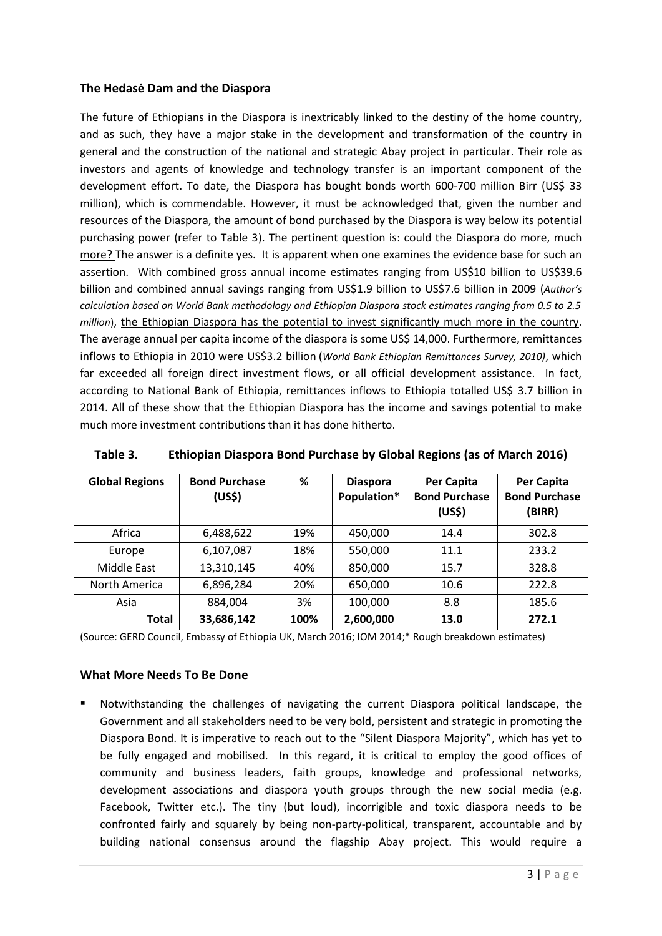## **The Hedasė Dam and the Diaspora**

The future of Ethiopians in the Diaspora is inextricably linked to the destiny of the home country, and as such, they have a major stake in the development and transformation of the country in general and the construction of the national and strategic Abay project in particular. Their role as investors and agents of knowledge and technology transfer is an important component of the development effort. To date, the Diaspora has bought bonds worth 600-700 million Birr (US\$ 33 million), which is commendable. However, it must be acknowledged that, given the number and resources of the Diaspora, the amount of bond purchased by the Diaspora is way below its potential purchasing power (refer to Table 3). The pertinent question is: could the Diaspora do more, much more? The answer is a definite yes. It is apparent when one examines the evidence base for such an assertion. With combined gross annual income estimates ranging from US\$10 billion to US\$39.6 billion and combined annual savings ranging from US\$1.9 billion to US\$7.6 billion in 2009 (*Author's calculation based on World Bank methodology and Ethiopian Diaspora stock estimates ranging from 0.5 to 2.5 million*), the Ethiopian Diaspora has the potential to invest significantly much more in the country. The average annual per capita income of the diaspora is some US\$ 14,000. Furthermore, remittances inflows to Ethiopia in 2010 were US\$3.2 billion (*World Bank Ethiopian Remittances Survey, 2010)*, which far exceeded all foreign direct investment flows, or all official development assistance. In fact, according to National Bank of Ethiopia, remittances inflows to Ethiopia totalled US\$ 3.7 billion in 2014. All of these show that the Ethiopian Diaspora has the income and savings potential to make much more investment contributions than it has done hitherto.

| Ethiopian Diaspora Bond Purchase by Global Regions (as of March 2016)<br>Table 3.                |                                |      |                                |                                              |                                              |  |  |
|--------------------------------------------------------------------------------------------------|--------------------------------|------|--------------------------------|----------------------------------------------|----------------------------------------------|--|--|
| <b>Global Regions</b>                                                                            | <b>Bond Purchase</b><br>(US\$) | ℅    | <b>Diaspora</b><br>Population* | Per Capita<br><b>Bond Purchase</b><br>(US\$) | Per Capita<br><b>Bond Purchase</b><br>(BIRR) |  |  |
| Africa                                                                                           | 6,488,622                      | 19%  | 450,000                        | 14.4                                         | 302.8                                        |  |  |
| Europe                                                                                           | 6,107,087                      | 18%  | 550,000                        | 11.1                                         | 233.2                                        |  |  |
| Middle East                                                                                      | 13,310,145                     | 40%  | 850,000                        | 15.7                                         | 328.8                                        |  |  |
| North America                                                                                    | 6,896,284                      | 20%  | 650.000                        | 10.6                                         | 222.8                                        |  |  |
| Asia                                                                                             | 884.004                        | 3%   | 100,000                        | 8.8                                          | 185.6                                        |  |  |
| <b>Total</b>                                                                                     | 33,686,142                     | 100% | 2,600,000                      | 13.0                                         | 272.1                                        |  |  |
| (Source: GERD Council, Embassy of Ethiopia UK, March 2016; IOM 2014;* Rough breakdown estimates) |                                |      |                                |                                              |                                              |  |  |

#### **What More Needs To Be Done**

 Notwithstanding the challenges of navigating the current Diaspora political landscape, the Government and all stakeholders need to be very bold, persistent and strategic in promoting the Diaspora Bond. It is imperative to reach out to the "Silent Diaspora Majority", which has yet to be fully engaged and mobilised. In this regard, it is critical to employ the good offices of community and business leaders, faith groups, knowledge and professional networks, development associations and diaspora youth groups through the new social media (e.g. Facebook, Twitter etc.). The tiny (but loud), incorrigible and toxic diaspora needs to be confronted fairly and squarely by being non-party-political, transparent, accountable and by building national consensus around the flagship Abay project. This would require a